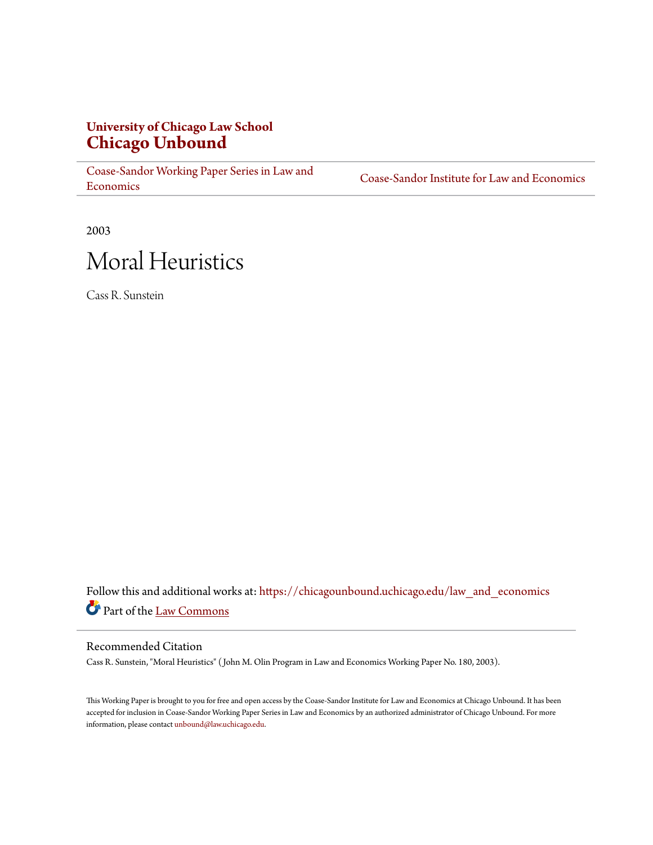# **University of Chicago Law School [Chicago Unbound](https://chicagounbound.uchicago.edu?utm_source=chicagounbound.uchicago.edu%2Flaw_and_economics%2F326&utm_medium=PDF&utm_campaign=PDFCoverPages)**

[Coase-Sandor Working Paper Series in Law and](https://chicagounbound.uchicago.edu/law_and_economics?utm_source=chicagounbound.uchicago.edu%2Flaw_and_economics%2F326&utm_medium=PDF&utm_campaign=PDFCoverPages) [Economics](https://chicagounbound.uchicago.edu/law_and_economics?utm_source=chicagounbound.uchicago.edu%2Flaw_and_economics%2F326&utm_medium=PDF&utm_campaign=PDFCoverPages)

[Coase-Sandor Institute for Law and Economics](https://chicagounbound.uchicago.edu/coase_sandor_institute?utm_source=chicagounbound.uchicago.edu%2Flaw_and_economics%2F326&utm_medium=PDF&utm_campaign=PDFCoverPages)

2003

# Moral Heuristics

Cass R. Sunstein

Follow this and additional works at: [https://chicagounbound.uchicago.edu/law\\_and\\_economics](https://chicagounbound.uchicago.edu/law_and_economics?utm_source=chicagounbound.uchicago.edu%2Flaw_and_economics%2F326&utm_medium=PDF&utm_campaign=PDFCoverPages) Part of the [Law Commons](http://network.bepress.com/hgg/discipline/578?utm_source=chicagounbound.uchicago.edu%2Flaw_and_economics%2F326&utm_medium=PDF&utm_campaign=PDFCoverPages)

#### Recommended Citation

Cass R. Sunstein, "Moral Heuristics" ( John M. Olin Program in Law and Economics Working Paper No. 180, 2003).

This Working Paper is brought to you for free and open access by the Coase-Sandor Institute for Law and Economics at Chicago Unbound. It has been accepted for inclusion in Coase-Sandor Working Paper Series in Law and Economics by an authorized administrator of Chicago Unbound. For more information, please contact [unbound@law.uchicago.edu.](mailto:unbound@law.uchicago.edu)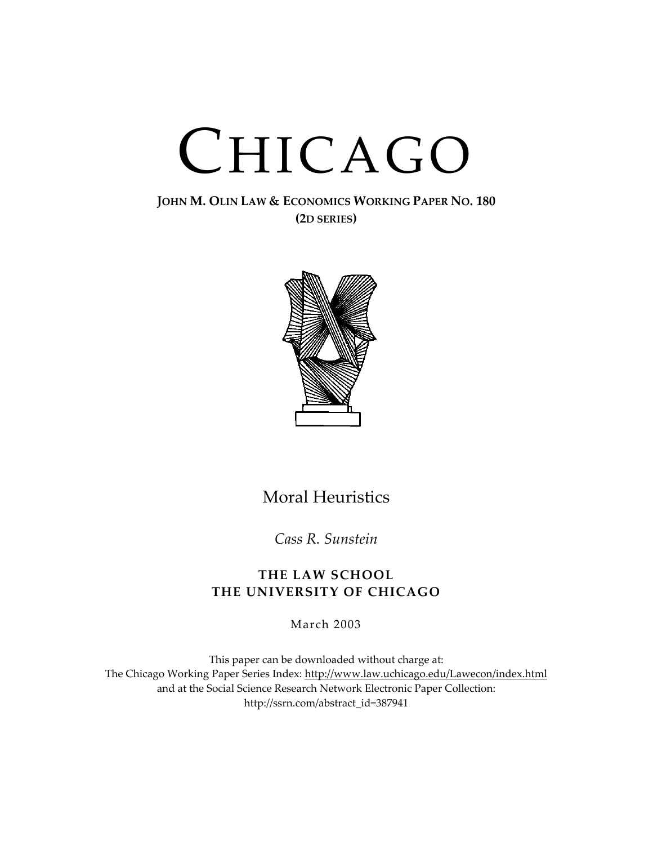# CHICAGO

### **JOHN M. OLIN LAW & ECONOMICS WORKING PAPER NO. 180 (2D SERIES)**



# Moral Heuristics

*Cass R. Sunstein*

## **THE LAW SCHOOL THE UNIVERSITY OF CHICAGO**

March 2003

This paper can be downloaded without charge at: The Chicago Working Paper Series Index: [http://www.law.uchicago.edu/Lawecon/index.html](http://www.law.uchicago.edu/Publications/Working/index.html) and at the Social Science Research Network Electronic Paper Collection: http://ssrn.com/abstract\_id=387941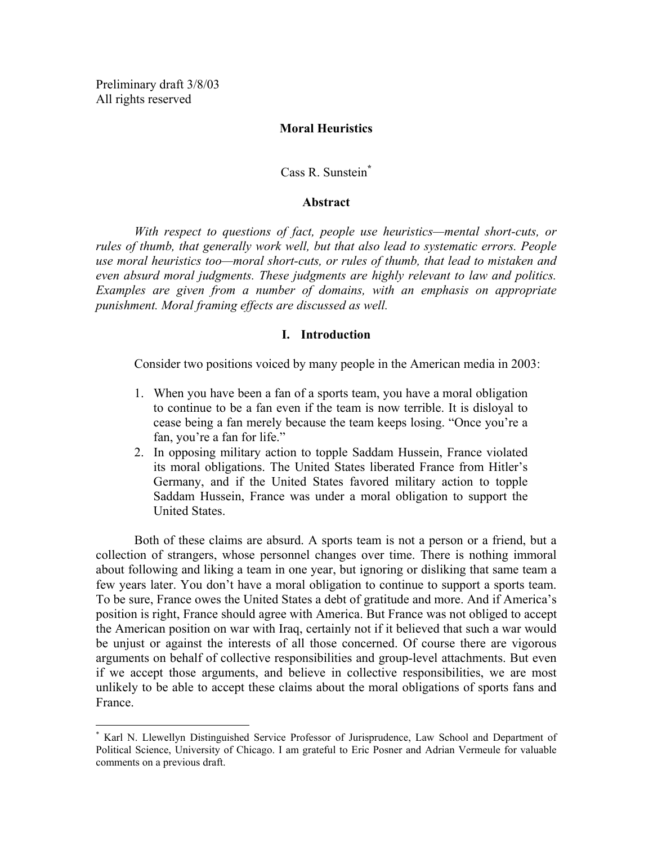Preliminary draft 3/8/03 All rights reserved

 $\overline{a}$ 

#### **Moral Heuristics**

Cass R. Sunstein**[\\*](#page-2-0)** 

#### **Abstract**

*With respect to questions of fact, people use heuristics—mental short-cuts, or rules of thumb, that generally work well, but that also lead to systematic errors. People use moral heuristics too—moral short-cuts, or rules of thumb, that lead to mistaken and even absurd moral judgments. These judgments are highly relevant to law and politics. Examples are given from a number of domains, with an emphasis on appropriate punishment. Moral framing effects are discussed as well.* 

#### **I. Introduction**

Consider two positions voiced by many people in the American media in 2003:

- 1. When you have been a fan of a sports team, you have a moral obligation to continue to be a fan even if the team is now terrible. It is disloyal to cease being a fan merely because the team keeps losing. "Once you're a fan, you're a fan for life."
- 2. In opposing military action to topple Saddam Hussein, France violated its moral obligations. The United States liberated France from Hitler's Germany, and if the United States favored military action to topple Saddam Hussein, France was under a moral obligation to support the United States.

Both of these claims are absurd. A sports team is not a person or a friend, but a collection of strangers, whose personnel changes over time. There is nothing immoral about following and liking a team in one year, but ignoring or disliking that same team a few years later. You don't have a moral obligation to continue to support a sports team. To be sure, France owes the United States a debt of gratitude and more. And if America's position is right, France should agree with America. But France was not obliged to accept the American position on war with Iraq, certainly not if it believed that such a war would be unjust or against the interests of all those concerned. Of course there are vigorous arguments on behalf of collective responsibilities and group-level attachments. But even if we accept those arguments, and believe in collective responsibilities, we are most unlikely to be able to accept these claims about the moral obligations of sports fans and France.

<span id="page-2-0"></span><sup>\*</sup> Karl N. Llewellyn Distinguished Service Professor of Jurisprudence, Law School and Department of Political Science, University of Chicago. I am grateful to Eric Posner and Adrian Vermeule for valuable comments on a previous draft.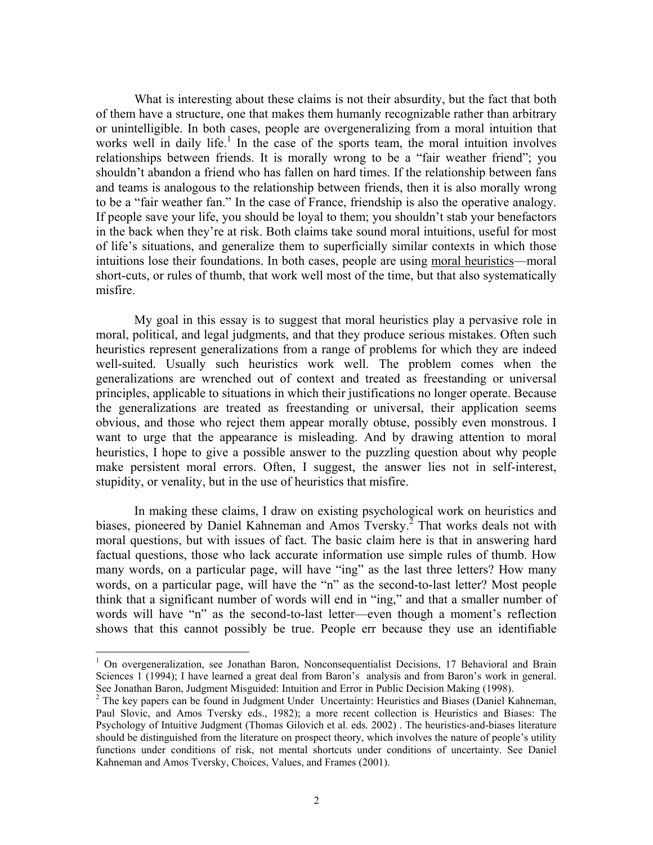What is interesting about these claims is not their absurdity, but the fact that both of them have a structure, one that makes them humanly recognizable rather than arbitrary or unintelligible. In both cases, people are overgeneralizing from a moral intuition that works well in daily life.<sup>[1](#page-3-0)</sup> In the case of the sports team, the moral intuition involves relationships between friends. It is morally wrong to be a "fair weather friend"; you shouldn't abandon a friend who has fallen on hard times. If the relationship between fans and teams is analogous to the relationship between friends, then it is also morally wrong to be a "fair weather fan." In the case of France, friendship is also the operative analogy. If people save your life, you should be loyal to them; you shouldn't stab your benefactors in the back when they're at risk. Both claims take sound moral intuitions, useful for most of life's situations, and generalize them to superficially similar contexts in which those intuitions lose their foundations. In both cases, people are using moral heuristics—moral short-cuts, or rules of thumb, that work well most of the time, but that also systematically misfire.

My goal in this essay is to suggest that moral heuristics play a pervasive role in moral, political, and legal judgments, and that they produce serious mistakes. Often such heuristics represent generalizations from a range of problems for which they are indeed well-suited. Usually such heuristics work well. The problem comes when the generalizations are wrenched out of context and treated as freestanding or universal principles, applicable to situations in which their justifications no longer operate. Because the generalizations are treated as freestanding or universal, their application seems obvious, and those who reject them appear morally obtuse, possibly even monstrous. I want to urge that the appearance is misleading. And by drawing attention to moral heuristics, I hope to give a possible answer to the puzzling question about why people make persistent moral errors. Often, I suggest, the answer lies not in self-interest, stupidity, or venality, but in the use of heuristics that misfire.

In making these claims, I draw on existing psychological work on heuristics and biases,pioneered by Daniel Kahneman and Amos Tversky.<sup>2</sup> That works deals not with moral questions, but with issues of fact. The basic claim here is that in answering hard factual questions, those who lack accurate information use simple rules of thumb. How many words, on a particular page, will have "ing" as the last three letters? How many words, on a particular page, will have the "n" as the second-to-last letter? Most people think that a significant number of words will end in "ing," and that a smaller number of words will have "n" as the second-to-last letter—even though a moment's reflection shows that this cannot possibly be true. People err because they use an identifiable

<span id="page-3-0"></span><sup>&</sup>lt;sup>1</sup> On overgeneralization, see Jonathan Baron, Nonconsequentialist Decisions, 17 Behavioral and Brain Sciences 1 (1994); I have learned a great deal from Baron's analysis and from Baron's work in general. See Jonathan Baron, Judgment Misguided: Intuition and Error in Public Decision Making (1998). 2

<span id="page-3-1"></span><sup>&</sup>lt;sup>2</sup> The key papers can be found in Judgment Under Uncertainty: Heuristics and Biases (Daniel Kahneman, Paul Slovic, and Amos Tversky eds., 1982); a more recent collection is Heuristics and Biases: The Psychology of Intuitive Judgment (Thomas Gilovich et al. eds. 2002) . The heuristics-and-biases literature should be distinguished from the literature on prospect theory, which involves the nature of people's utility functions under conditions of risk, not mental shortcuts under conditions of uncertainty. See Daniel Kahneman and Amos Tversky, Choices, Values, and Frames (2001).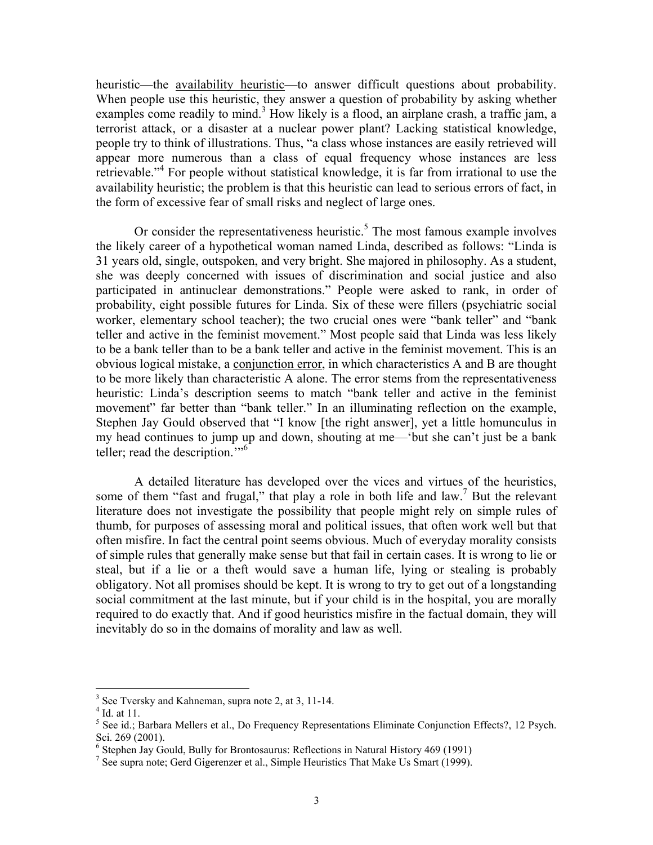heuristic—the availability heuristic—to answer difficult questions about probability. When people use this heuristic, they answer a question of probability by asking whether examples come readily to mind.<sup>3</sup> How likely is a flood, an airplane crash, a traffic jam, a terrorist attack, or a disaster at a nuclear power plant? Lacking statistical knowledge, people try to think of illustrations. Thus, "a class whose instances are easily retrieved will appear more numerous than a class of equal frequency whose instances are less retrievable."<sup>[4](#page-4-1)</sup> For people without statistical knowledge, it is far from irrational to use the availability heuristic; the problem is that this heuristic can lead to serious errors of fact, in the form of excessive fear of small risks and neglect of large ones.

Or consider the representativeness heuristic.<sup>5</sup> The most famous example involves the likely career of a hypothetical woman named Linda, described as follows: "Linda is 31 years old, single, outspoken, and very bright. She majored in philosophy. As a student, she was deeply concerned with issues of discrimination and social justice and also participated in antinuclear demonstrations." People were asked to rank, in order of probability, eight possible futures for Linda. Six of these were fillers (psychiatric social worker, elementary school teacher); the two crucial ones were "bank teller" and "bank teller and active in the feminist movement." Most people said that Linda was less likely to be a bank teller than to be a bank teller and active in the feminist movement. This is an obvious logical mistake, a conjunction error, in which characteristics A and B are thought to be more likely than characteristic A alone. The error stems from the representativeness heuristic: Linda's description seems to match "bank teller and active in the feminist movement" far better than "bank teller." In an illuminating reflection on the example, Stephen Jay Gould observed that "I know [the right answer], yet a little homunculus in my head continues to jump up and down, shouting at me—'but she can't just be a bank teller; read the description."<sup>5[6](#page-4-3)</sup>

A detailed literature has developed over the vices and virtues of the heuristics, some of them "fast and frugal," that play a role in both life and law.<sup>[7](#page-4-4)</sup> But the relevant literature does not investigate the possibility that people might rely on simple rules of thumb, for purposes of assessing moral and political issues, that often work well but that often misfire. In fact the central point seems obvious. Much of everyday morality consists of simple rules that generally make sense but that fail in certain cases. It is wrong to lie or steal, but if a lie or a theft would save a human life, lying or stealing is probably obligatory. Not all promises should be kept. It is wrong to try to get out of a longstanding social commitment at the last minute, but if your child is in the hospital, you are morally required to do exactly that. And if good heuristics misfire in the factual domain, they will inevitably do so in the domains of morality and law as well.

<span id="page-4-0"></span> $3 \text{ See Tversky and Kahneman, supra note 2, at 3, 11-14.}$ 

<span id="page-4-1"></span> $<sup>4</sup>$  Id. at 11.</sup>

<span id="page-4-2"></span><sup>&</sup>lt;sup>5</sup> See id.; Barbara Mellers et al., Do Frequency Representations Eliminate Conjunction Effects?, 12 Psych. Sci. 269 (2001).

<span id="page-4-3"></span> $6$  Stephen Jay Gould, Bully for Brontosaurus: Reflections in Natural History 469 (1991)

<span id="page-4-4"></span> $\frac{7}{1}$  See supra note; Gerd Gigerenzer et al., Simple Heuristics That Make Us Smart (1999).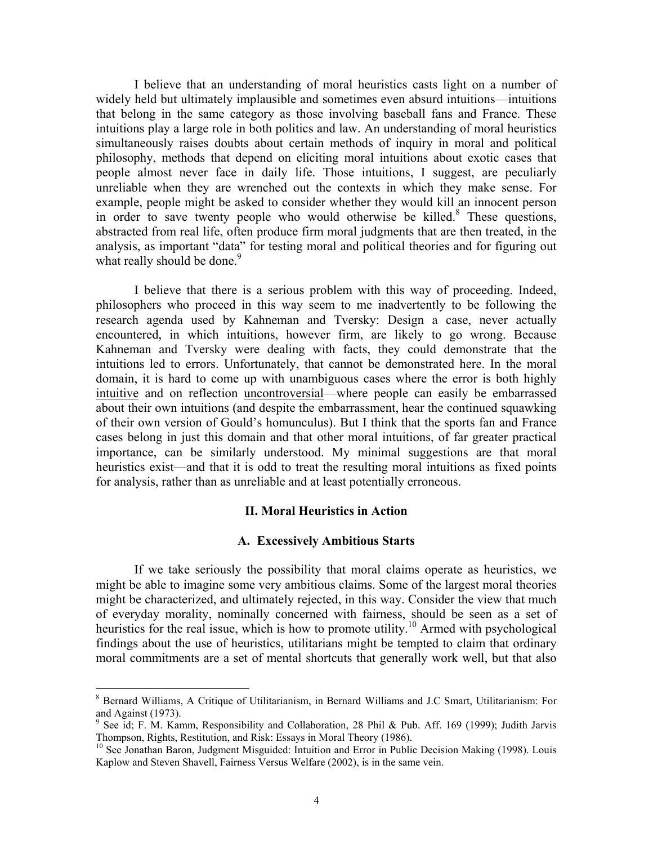I believe that an understanding of moral heuristics casts light on a number of widely held but ultimately implausible and sometimes even absurd intuitions—intuitions that belong in the same category as those involving baseball fans and France. These intuitions play a large role in both politics and law. An understanding of moral heuristics simultaneously raises doubts about certain methods of inquiry in moral and political philosophy, methods that depend on eliciting moral intuitions about exotic cases that people almost never face in daily life. Those intuitions, I suggest, are peculiarly unreliable when they are wrenched out the contexts in which they make sense. For example, people might be asked to consider whether they would kill an innocent person in order to save twenty people who would otherwise be killed.<sup>[8](#page-5-0)</sup> These questions, abstracted from real life, often produce firm moral judgments that are then treated, in the analysis, as important "data" for testing moral and political theories and for figuring out whatreally should be done.<sup>9</sup>

I believe that there is a serious problem with this way of proceeding. Indeed, philosophers who proceed in this way seem to me inadvertently to be following the research agenda used by Kahneman and Tversky: Design a case, never actually encountered, in which intuitions, however firm, are likely to go wrong. Because Kahneman and Tversky were dealing with facts, they could demonstrate that the intuitions led to errors. Unfortunately, that cannot be demonstrated here. In the moral domain, it is hard to come up with unambiguous cases where the error is both highly intuitive and on reflection uncontroversial—where people can easily be embarrassed about their own intuitions (and despite the embarrassment, hear the continued squawking of their own version of Gould's homunculus). But I think that the sports fan and France cases belong in just this domain and that other moral intuitions, of far greater practical importance, can be similarly understood. My minimal suggestions are that moral heuristics exist—and that it is odd to treat the resulting moral intuitions as fixed points for analysis, rather than as unreliable and at least potentially erroneous.

#### **II. Moral Heuristics in Action**

#### **A. Excessively Ambitious Starts**

If we take seriously the possibility that moral claims operate as heuristics, we might be able to imagine some very ambitious claims. Some of the largest moral theories might be characterized, and ultimately rejected, in this way. Consider the view that much of everyday morality, nominally concerned with fairness, should be seen as a set of heuristics for the real issue, which is how to promote utility.<sup>10</sup> Armed with psychological findings about the use of heuristics, utilitarians might be tempted to claim that ordinary moral commitments are a set of mental shortcuts that generally work well, but that also

<span id="page-5-0"></span><sup>8</sup> Bernard Williams, A Critique of Utilitarianism, in Bernard Williams and J.C Smart, Utilitarianism: For and Against  $(1973)$ .

<span id="page-5-1"></span><sup>&</sup>lt;sup>9</sup> See id; F. M. Kamm, Responsibility and Collaboration, 28 Phil & Pub. Aff. 169 (1999); Judith Jarvis Thompson, Rights, Restitution, and Risk: Essays in Moral Theory (1986).

<span id="page-5-2"></span><sup>&</sup>lt;sup>10</sup> See Jonathan Baron, Judgment Misguided: Intuition and Error in Public Decision Making (1998). Louis Kaplow and Steven Shavell, Fairness Versus Welfare (2002), is in the same vein.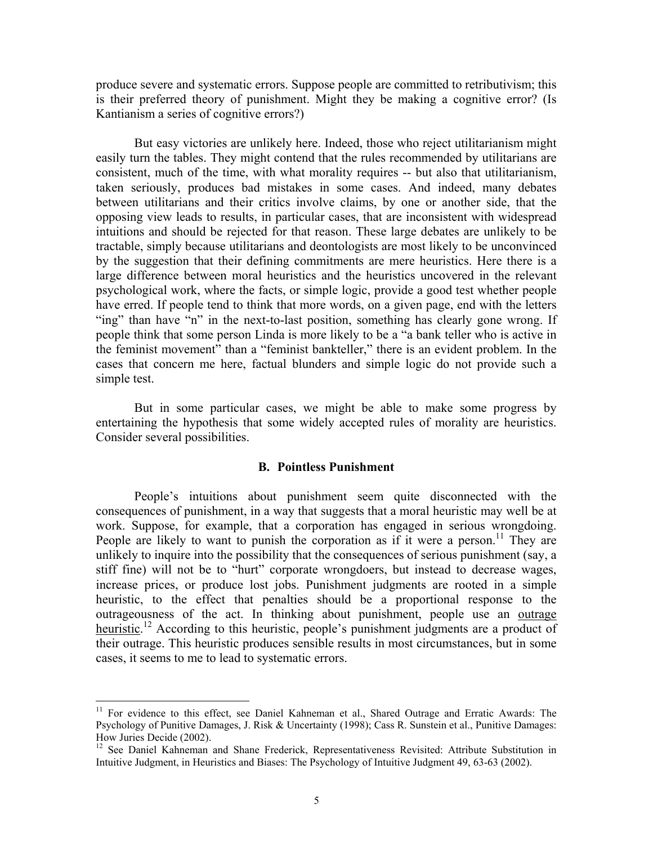produce severe and systematic errors. Suppose people are committed to retributivism; this is their preferred theory of punishment. Might they be making a cognitive error? (Is Kantianism a series of cognitive errors?)

But easy victories are unlikely here. Indeed, those who reject utilitarianism might easily turn the tables. They might contend that the rules recommended by utilitarians are consistent, much of the time, with what morality requires -- but also that utilitarianism, taken seriously, produces bad mistakes in some cases. And indeed, many debates between utilitarians and their critics involve claims, by one or another side, that the opposing view leads to results, in particular cases, that are inconsistent with widespread intuitions and should be rejected for that reason. These large debates are unlikely to be tractable, simply because utilitarians and deontologists are most likely to be unconvinced by the suggestion that their defining commitments are mere heuristics. Here there is a large difference between moral heuristics and the heuristics uncovered in the relevant psychological work, where the facts, or simple logic, provide a good test whether people have erred. If people tend to think that more words, on a given page, end with the letters "ing" than have "n" in the next-to-last position, something has clearly gone wrong. If people think that some person Linda is more likely to be a "a bank teller who is active in the feminist movement" than a "feminist bankteller," there is an evident problem. In the cases that concern me here, factual blunders and simple logic do not provide such a simple test.

But in some particular cases, we might be able to make some progress by entertaining the hypothesis that some widely accepted rules of morality are heuristics. Consider several possibilities.

#### **B. Pointless Punishment**

People's intuitions about punishment seem quite disconnected with the consequences of punishment, in a way that suggests that a moral heuristic may well be at work. Suppose, for example, that a corporation has engaged in serious wrongdoing. People are likely to want to punish the corporation as if it were a person.<sup>11</sup> They are unlikely to inquire into the possibility that the consequences of serious punishment (say, a stiff fine) will not be to "hurt" corporate wrongdoers, but instead to decrease wages, increase prices, or produce lost jobs. Punishment judgments are rooted in a simple heuristic, to the effect that penalties should be a proportional response to the outrageousness of the act. In thinking about punishment, people use an outrage heuristic.<sup>12</sup> According to this heuristic, people's punishment judgments are a product of their outrage. This heuristic produces sensible results in most circumstances, but in some cases, it seems to me to lead to systematic errors.

<span id="page-6-0"></span><sup>&</sup>lt;sup>11</sup> For evidence to this effect, see Daniel Kahneman et al., Shared Outrage and Erratic Awards: The Psychology of Punitive Damages, J. Risk & Uncertainty (1998); Cass R. Sunstein et al., Punitive Damages: How Juries Decide (2002).<br><sup>12</sup> See Daniel Kahneman and Shane Frederick, Representativeness Revisited: Attribute Substitution in

<span id="page-6-1"></span>Intuitive Judgment, in Heuristics and Biases: The Psychology of Intuitive Judgment 49, 63-63 (2002).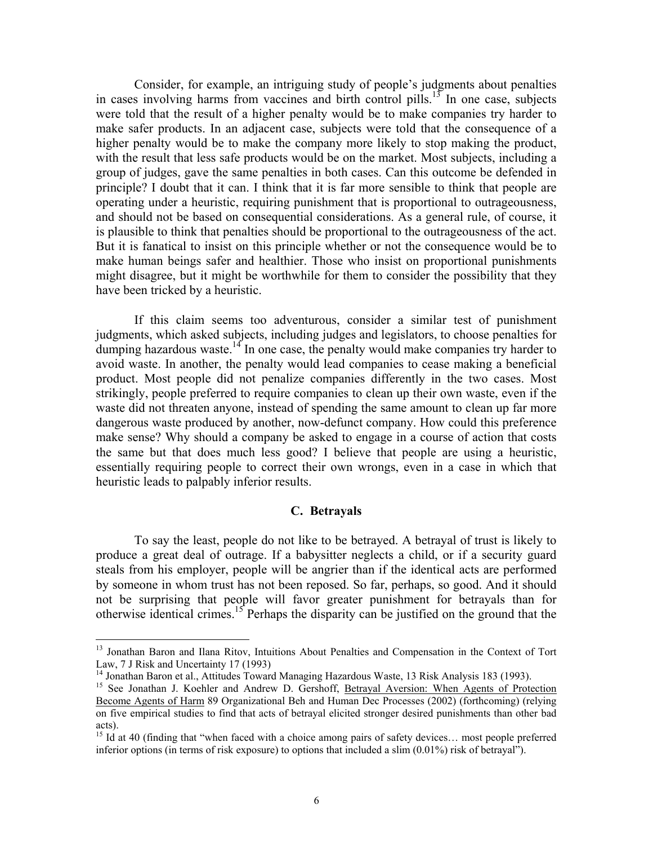Consider, for example, an intriguing study of people's judgments about penalties in cases involving harms from vaccines and birth control pills.<sup>13</sup> In one case, subjects were told that the result of a higher penalty would be to make companies try harder to make safer products. In an adjacent case, subjects were told that the consequence of a higher penalty would be to make the company more likely to stop making the product, with the result that less safe products would be on the market. Most subjects, including a group of judges, gave the same penalties in both cases. Can this outcome be defended in principle? I doubt that it can. I think that it is far more sensible to think that people are operating under a heuristic, requiring punishment that is proportional to outrageousness, and should not be based on consequential considerations. As a general rule, of course, it is plausible to think that penalties should be proportional to the outrageousness of the act. But it is fanatical to insist on this principle whether or not the consequence would be to make human beings safer and healthier. Those who insist on proportional punishments might disagree, but it might be worthwhile for them to consider the possibility that they have been tricked by a heuristic.

If this claim seems too adventurous, consider a similar test of punishment judgments, which asked subjects, including judges and legislators, to choose penalties for dumping hazardous waste.<sup>14</sup> In one case, the penalty would make companies try harder to avoid waste. In another, the penalty would lead companies to cease making a beneficial product. Most people did not penalize companies differently in the two cases. Most strikingly, people preferred to require companies to clean up their own waste, even if the waste did not threaten anyone, instead of spending the same amount to clean up far more dangerous waste produced by another, now-defunct company. How could this preference make sense? Why should a company be asked to engage in a course of action that costs the same but that does much less good? I believe that people are using a heuristic, essentially requiring people to correct their own wrongs, even in a case in which that heuristic leads to palpably inferior results.

#### **C. Betrayals**

To say the least, people do not like to be betrayed. A betrayal of trust is likely to produce a great deal of outrage. If a babysitter neglects a child, or if a security guard steals from his employer, people will be angrier than if the identical acts are performed by someone in whom trust has not been reposed. So far, perhaps, so good. And it should not be surprising that people will favor greater punishment for betrayals than for otherwise identical crimes[.15](#page-7-2) Perhaps the disparity can be justified on the ground that the

<span id="page-7-0"></span><sup>&</sup>lt;sup>13</sup> Jonathan Baron and Ilana Ritov, Intuitions About Penalties and Compensation in the Context of Tort Law,  $7 \text{ J Risk}$  and Uncertainty 17 (1993)

<span id="page-7-2"></span><span id="page-7-1"></span>

<sup>&</sup>lt;sup>14</sup> Jonathan Baron et al., Attitudes Toward Managing Hazardous Waste, 13 Risk Analysis 183 (1993).<br><sup>15</sup> See Jonathan J. Koehler and Andrew D. Gershoff, <u>Betrayal Aversion: When Agents of Protection</u> Become Agents of Harm 89 Organizational Beh and Human Dec Processes (2002) (forthcoming) (relying on five empirical studies to find that acts of betrayal elicited stronger desired punishments than other bad acts).<br><sup>15</sup> Id at 40 (finding that "when faced with a choice among pairs of safety devices... most people preferred

inferior options (in terms of risk exposure) to options that included a slim (0.01%) risk of betrayal").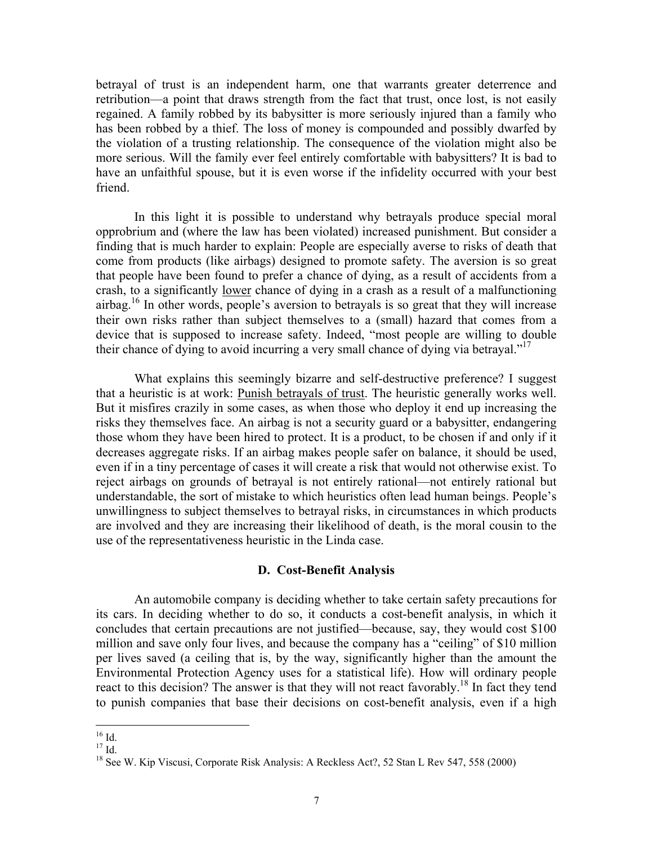betrayal of trust is an independent harm, one that warrants greater deterrence and retribution—a point that draws strength from the fact that trust, once lost, is not easily regained. A family robbed by its babysitter is more seriously injured than a family who has been robbed by a thief. The loss of money is compounded and possibly dwarfed by the violation of a trusting relationship. The consequence of the violation might also be more serious. Will the family ever feel entirely comfortable with babysitters? It is bad to have an unfaithful spouse, but it is even worse if the infidelity occurred with your best friend.

In this light it is possible to understand why betrayals produce special moral opprobrium and (where the law has been violated) increased punishment. But consider a finding that is much harder to explain: People are especially averse to risks of death that come from products (like airbags) designed to promote safety. The aversion is so great that people have been found to prefer a chance of dying, as a result of accidents from a crash, to a significantly lower chance of dying in a crash as a result of a malfunctioning airbag.<sup>16</sup> In other words, people's aversion to betrayals is so great that they will increase their own risks rather than subject themselves to a (small) hazard that comes from a device that is supposed to increase safety. Indeed, "most people are willing to double their chance of dying to avoid incurring a very small chance of dying via betrayal."<sup>17</sup>

What explains this seemingly bizarre and self-destructive preference? I suggest that a heuristic is at work: Punish betrayals of trust. The heuristic generally works well. But it misfires crazily in some cases, as when those who deploy it end up increasing the risks they themselves face. An airbag is not a security guard or a babysitter, endangering those whom they have been hired to protect. It is a product, to be chosen if and only if it decreases aggregate risks. If an airbag makes people safer on balance, it should be used, even if in a tiny percentage of cases it will create a risk that would not otherwise exist. To reject airbags on grounds of betrayal is not entirely rational—not entirely rational but understandable, the sort of mistake to which heuristics often lead human beings. People's unwillingness to subject themselves to betrayal risks, in circumstances in which products are involved and they are increasing their likelihood of death, is the moral cousin to the use of the representativeness heuristic in the Linda case.

#### **D. Cost-Benefit Analysis**

An automobile company is deciding whether to take certain safety precautions for its cars. In deciding whether to do so, it conducts a cost-benefit analysis, in which it concludes that certain precautions are not justified—because, say, they would cost \$100 million and save only four lives, and because the company has a "ceiling" of \$10 million per lives saved (a ceiling that is, by the way, significantly higher than the amount the Environmental Protection Agency uses for a statistical life). How will ordinary people react to this decision? The answer is that they will not react favorably.<sup>18</sup> In fact they tend to punish companies that base their decisions on cost-benefit analysis, even if a high

<u>.</u>

<span id="page-8-0"></span> $16$  Id.

<span id="page-8-1"></span> $^{17}$  Id.

<span id="page-8-2"></span><sup>&</sup>lt;sup>18</sup> See W. Kip Viscusi, Corporate Risk Analysis: A Reckless Act?, 52 Stan L Rev 547, 558 (2000)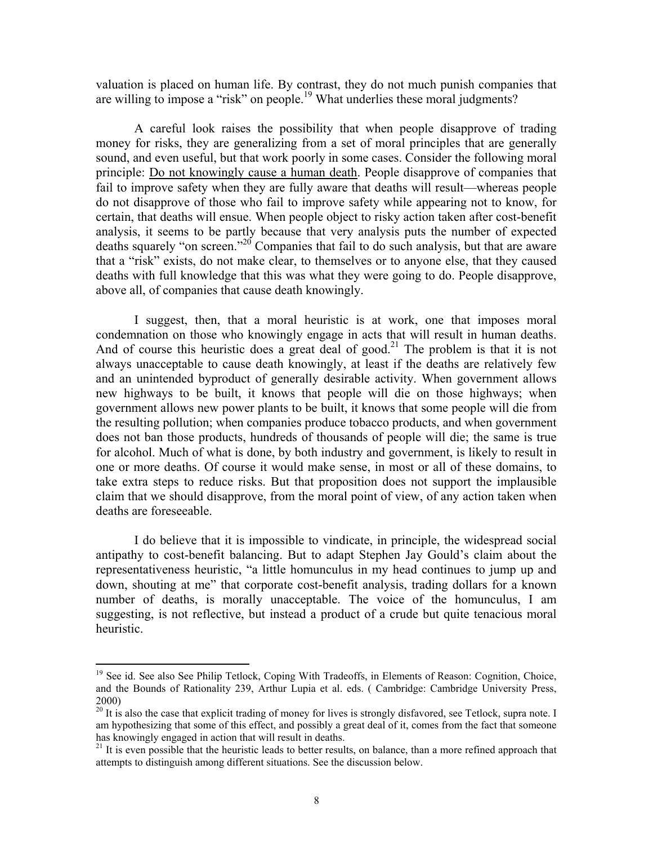valuation is placed on human life. By contrast, they do not much punish companies that are willing to impose a "risk" on people.<sup>19</sup> What underlies these moral judgments?

A careful look raises the possibility that when people disapprove of trading money for risks, they are generalizing from a set of moral principles that are generally sound, and even useful, but that work poorly in some cases. Consider the following moral principle: Do not knowingly cause a human death. People disapprove of companies that fail to improve safety when they are fully aware that deaths will result—whereas people do not disapprove of those who fail to improve safety while appearing not to know, for certain, that deaths will ensue. When people object to risky action taken after cost-benefit analysis, it seems to be partly because that very analysis puts the number of expected deaths squarely "on screen."<sup>20</sup> Companies that fail to do such analysis, but that are aware that a "risk" exists, do not make clear, to themselves or to anyone else, that they caused deaths with full knowledge that this was what they were going to do. People disapprove, above all, of companies that cause death knowingly.

I suggest, then, that a moral heuristic is at work, one that imposes moral condemnation on those who knowingly engage in acts that will result in human deaths. And of course this heuristic does a great deal of good.<sup>21</sup> The problem is that it is not always unacceptable to cause death knowingly, at least if the deaths are relatively few and an unintended byproduct of generally desirable activity. When government allows new highways to be built, it knows that people will die on those highways; when government allows new power plants to be built, it knows that some people will die from the resulting pollution; when companies produce tobacco products, and when government does not ban those products, hundreds of thousands of people will die; the same is true for alcohol. Much of what is done, by both industry and government, is likely to result in one or more deaths. Of course it would make sense, in most or all of these domains, to take extra steps to reduce risks. But that proposition does not support the implausible claim that we should disapprove, from the moral point of view, of any action taken when deaths are foreseeable.

I do believe that it is impossible to vindicate, in principle, the widespread social antipathy to cost-benefit balancing. But to adapt Stephen Jay Gould's claim about the representativeness heuristic, "a little homunculus in my head continues to jump up and down, shouting at me" that corporate cost-benefit analysis, trading dollars for a known number of deaths, is morally unacceptable. The voice of the homunculus, I am suggesting, is not reflective, but instead a product of a crude but quite tenacious moral heuristic.

<span id="page-9-0"></span> $19$  See id. See also See Philip Tetlock, Coping With Tradeoffs, in Elements of Reason: Cognition, Choice, and the Bounds of Rationality 239, Arthur Lupia et al. eds. ( Cambridge: Cambridge University Press, 2000)

<span id="page-9-1"></span> $20$  It is also the case that explicit trading of money for lives is strongly disfavored, see Tetlock, supra note. I am hypothesizing that some of this effect, and possibly a great deal of it, comes from the fact that someone has knowingly engaged in action that will result in deaths.

<span id="page-9-2"></span> $\frac{21}{11}$  It is even possible that the heuristic leads to better results, on balance, than a more refined approach that attempts to distinguish among different situations. See the discussion below.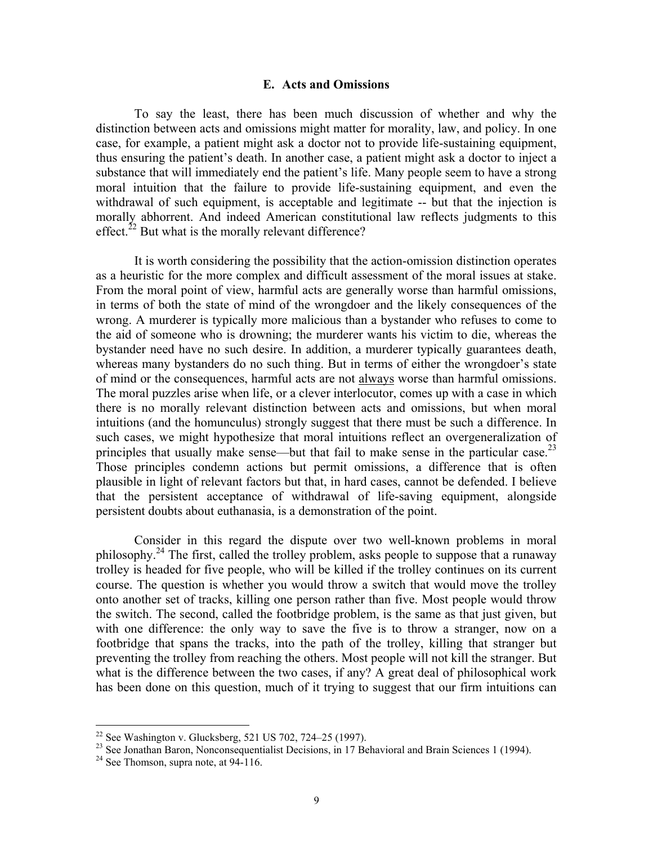#### **E. Acts and Omissions**

To say the least, there has been much discussion of whether and why the distinction between acts and omissions might matter for morality, law, and policy. In one case, for example, a patient might ask a doctor not to provide life-sustaining equipment, thus ensuring the patient's death. In another case, a patient might ask a doctor to inject a substance that will immediately end the patient's life. Many people seem to have a strong moral intuition that the failure to provide life-sustaining equipment, and even the withdrawal of such equipment, is acceptable and legitimate -- but that the injection is morally abhorrent. And indeed American constitutional law reflects judgments to this effect.<sup>22</sup> But what is the morally relevant difference?

It is worth considering the possibility that the action-omission distinction operates as a heuristic for the more complex and difficult assessment of the moral issues at stake. From the moral point of view, harmful acts are generally worse than harmful omissions, in terms of both the state of mind of the wrongdoer and the likely consequences of the wrong. A murderer is typically more malicious than a bystander who refuses to come to the aid of someone who is drowning; the murderer wants his victim to die, whereas the bystander need have no such desire. In addition, a murderer typically guarantees death, whereas many bystanders do no such thing. But in terms of either the wrongdoer's state of mind or the consequences, harmful acts are not always worse than harmful omissions. The moral puzzles arise when life, or a clever interlocutor, comes up with a case in which there is no morally relevant distinction between acts and omissions, but when moral intuitions (and the homunculus) strongly suggest that there must be such a difference. In such cases, we might hypothesize that moral intuitions reflect an overgeneralization of principles that usually make sense—but that fail to make sense in the particular case.<sup>[23](#page-10-1)</sup> Those principles condemn actions but permit omissions, a difference that is often plausible in light of relevant factors but that, in hard cases, cannot be defended. I believe that the persistent acceptance of withdrawal of life-saving equipment, alongside persistent doubts about euthanasia, is a demonstration of the point.

Consider in this regard the dispute over two well-known problems in moral philosophy.<sup>24</sup> The first, called the trolley problem, asks people to suppose that a runaway trolley is headed for five people, who will be killed if the trolley continues on its current course. The question is whether you would throw a switch that would move the trolley onto another set of tracks, killing one person rather than five. Most people would throw the switch. The second, called the footbridge problem, is the same as that just given, but with one difference: the only way to save the five is to throw a stranger, now on a footbridge that spans the tracks, into the path of the trolley, killing that stranger but preventing the trolley from reaching the others. Most people will not kill the stranger. But what is the difference between the two cases, if any? A great deal of philosophical work has been done on this question, much of it trying to suggest that our firm intuitions can

<span id="page-10-0"></span><sup>&</sup>lt;sup>22</sup> See Washington v. Glucksberg, 521 US 702, 724–25 (1997).

<span id="page-10-1"></span><sup>&</sup>lt;sup>23</sup> See Jonathan Baron, Nonconsequentialist Decisions, in 17 Behavioral and Brain Sciences 1 (1994).<br><sup>24</sup> See Thomson, supra note, at 94-116.

<span id="page-10-2"></span>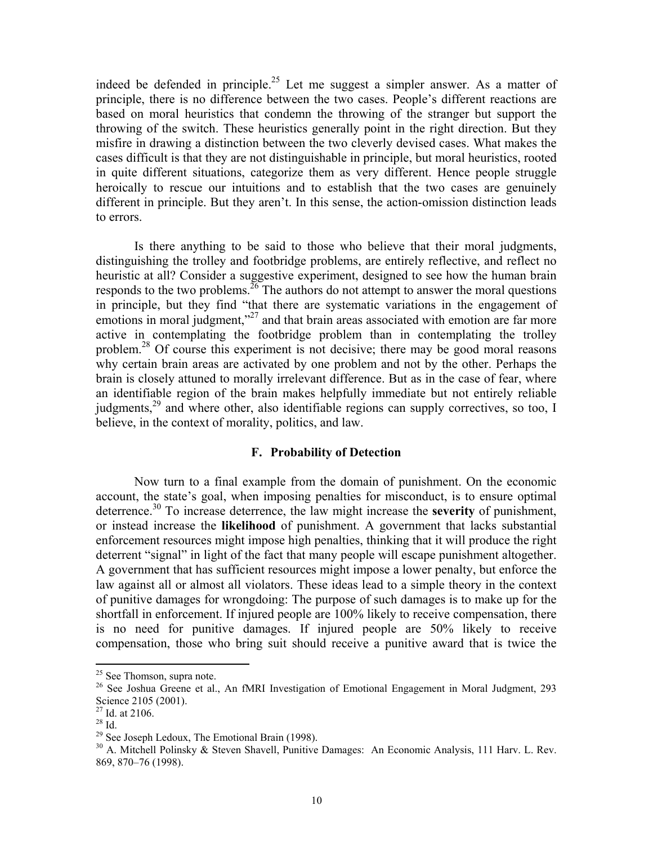indeed be defended in principle.<sup>25</sup> Let me suggest a simpler answer. As a matter of principle, there is no difference between the two cases. People's different reactions are based on moral heuristics that condemn the throwing of the stranger but support the throwing of the switch. These heuristics generally point in the right direction. But they misfire in drawing a distinction between the two cleverly devised cases. What makes the cases difficult is that they are not distinguishable in principle, but moral heuristics, rooted in quite different situations, categorize them as very different. Hence people struggle heroically to rescue our intuitions and to establish that the two cases are genuinely different in principle. But they aren't. In this sense, the action-omission distinction leads to errors.

Is there anything to be said to those who believe that their moral judgments, distinguishing the trolley and footbridge problems, are entirely reflective, and reflect no heuristic at all? Consider a suggestive experiment, designed to see how the human brain responds to the two problems.<sup>26</sup> The authors do not attempt to answer the moral questions in principle, but they find "that there are systematic variations in the engagement of emotions in moral judgment,"<sup>27</sup> and that brain areas associated with emotion are far more active in contemplating the footbridge problem than in contemplating the trolley problem.<sup>28</sup> Of course this experiment is not decisive; there may be good moral reasons why certain brain areas are activated by one problem and not by the other. Perhaps the brain is closely attuned to morally irrelevant difference. But as in the case of fear, where an identifiable region of the brain makes helpfully immediate but not entirely reliable judgments,<sup>29</sup> and where other, also identifiable regions can supply correctives, so too, I believe, in the context of morality, politics, and law.

#### **F. Probability of Detection**

Now turn to a final example from the domain of punishment. On the economic account, the state's goal, when imposing penalties for misconduct, is to ensure optimal deterrence[.30](#page-11-5) To increase deterrence, the law might increase the **severity** of punishment, or instead increase the **likelihood** of punishment. A government that lacks substantial enforcement resources might impose high penalties, thinking that it will produce the right deterrent "signal" in light of the fact that many people will escape punishment altogether. A government that has sufficient resources might impose a lower penalty, but enforce the law against all or almost all violators. These ideas lead to a simple theory in the context of punitive damages for wrongdoing: The purpose of such damages is to make up for the shortfall in enforcement. If injured people are 100% likely to receive compensation, there is no need for punitive damages. If injured people are 50% likely to receive compensation, those who bring suit should receive a punitive award that is twice the

<span id="page-11-0"></span><sup>&</sup>lt;sup>25</sup> See Thomson, supra note.

<span id="page-11-1"></span><sup>&</sup>lt;sup>26</sup> See Joshua Greene et al., An fMRI Investigation of Emotional Engagement in Moral Judgment, 293 Science 2105 (2001).<br>
<sup>27</sup> Id. at 2106.<br>
<sup>28</sup> Id.<br>
<sup>29</sup> See Joseph Ledoux. The Emotional Brain (1998).

<span id="page-11-2"></span>

<span id="page-11-3"></span>

<span id="page-11-4"></span>

<span id="page-11-5"></span> $30$  A. Mitchell Polinsky & Steven Shavell, Punitive Damages: An Economic Analysis, 111 Harv. L. Rev. 869, 870–76 (1998).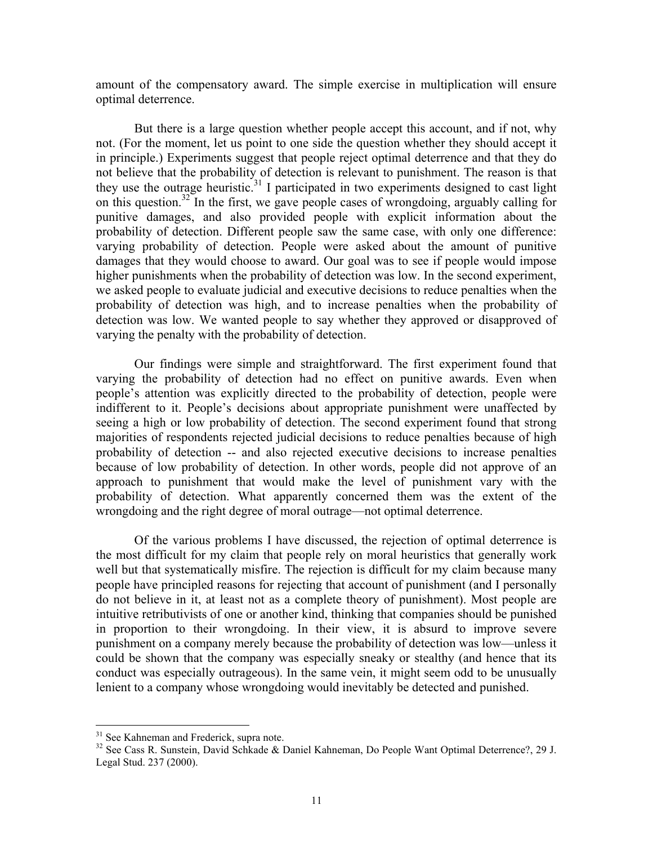amount of the compensatory award. The simple exercise in multiplication will ensure optimal deterrence.

But there is a large question whether people accept this account, and if not, why not. (For the moment, let us point to one side the question whether they should accept it in principle.) Experiments suggest that people reject optimal deterrence and that they do not believe that the probability of detection is relevant to punishment. The reason is that they use the outrage heuristic.<sup>31</sup> I participated in two experiments designed to cast light on this question.<sup>32</sup> In the first, we gave people cases of wrongdoing, arguably calling for punitive damages, and also provided people with explicit information about the probability of detection. Different people saw the same case, with only one difference: varying probability of detection. People were asked about the amount of punitive damages that they would choose to award. Our goal was to see if people would impose higher punishments when the probability of detection was low. In the second experiment, we asked people to evaluate judicial and executive decisions to reduce penalties when the probability of detection was high, and to increase penalties when the probability of detection was low. We wanted people to say whether they approved or disapproved of varying the penalty with the probability of detection.

Our findings were simple and straightforward. The first experiment found that varying the probability of detection had no effect on punitive awards. Even when people's attention was explicitly directed to the probability of detection, people were indifferent to it. People's decisions about appropriate punishment were unaffected by seeing a high or low probability of detection. The second experiment found that strong majorities of respondents rejected judicial decisions to reduce penalties because of high probability of detection -- and also rejected executive decisions to increase penalties because of low probability of detection. In other words, people did not approve of an approach to punishment that would make the level of punishment vary with the probability of detection. What apparently concerned them was the extent of the wrongdoing and the right degree of moral outrage—not optimal deterrence.

Of the various problems I have discussed, the rejection of optimal deterrence is the most difficult for my claim that people rely on moral heuristics that generally work well but that systematically misfire. The rejection is difficult for my claim because many people have principled reasons for rejecting that account of punishment (and I personally do not believe in it, at least not as a complete theory of punishment). Most people are intuitive retributivists of one or another kind, thinking that companies should be punished in proportion to their wrongdoing. In their view, it is absurd to improve severe punishment on a company merely because the probability of detection was low—unless it could be shown that the company was especially sneaky or stealthy (and hence that its conduct was especially outrageous). In the same vein, it might seem odd to be unusually lenient to a company whose wrongdoing would inevitably be detected and punished.

<span id="page-12-0"></span><sup>&</sup>lt;sup>31</sup> See Kahneman and Frederick, supra note.

<span id="page-12-1"></span> $32$  See Cass R. Sunstein, David Schkade & Daniel Kahneman, Do People Want Optimal Deterrence?, 29 J. Legal Stud. 237 (2000).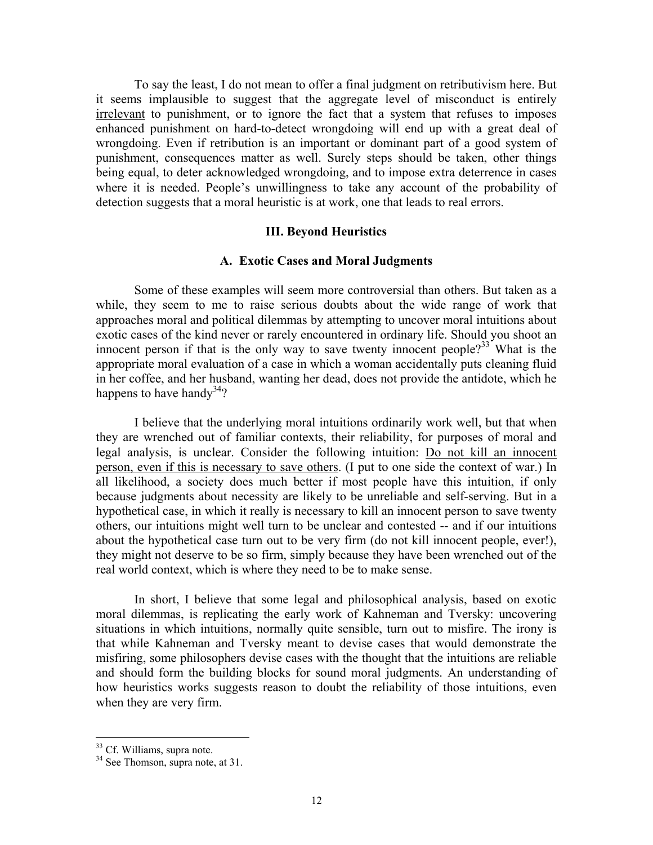To say the least, I do not mean to offer a final judgment on retributivism here. But it seems implausible to suggest that the aggregate level of misconduct is entirely irrelevant to punishment, or to ignore the fact that a system that refuses to imposes enhanced punishment on hard-to-detect wrongdoing will end up with a great deal of wrongdoing. Even if retribution is an important or dominant part of a good system of punishment, consequences matter as well. Surely steps should be taken, other things being equal, to deter acknowledged wrongdoing, and to impose extra deterrence in cases where it is needed. People's unwillingness to take any account of the probability of detection suggests that a moral heuristic is at work, one that leads to real errors.

#### **III. Beyond Heuristics**

#### **A. Exotic Cases and Moral Judgments**

Some of these examples will seem more controversial than others. But taken as a while, they seem to me to raise serious doubts about the wide range of work that approaches moral and political dilemmas by attempting to uncover moral intuitions about exotic cases of the kind never or rarely encountered in ordinary life. Should you shoot an innocent person if that is the only way to save twenty innocent people?<sup>33</sup> What is the appropriate moral evaluation of a case in which a woman accidentally puts cleaning fluid in her coffee, and her husband, wanting her dead, does not provide the antidote, which he happens to have hand $y^{34}$ ?

I believe that the underlying moral intuitions ordinarily work well, but that when they are wrenched out of familiar contexts, their reliability, for purposes of moral and legal analysis, is unclear. Consider the following intuition: Do not kill an innocent person, even if this is necessary to save others. (I put to one side the context of war.) In all likelihood, a society does much better if most people have this intuition, if only because judgments about necessity are likely to be unreliable and self-serving. But in a hypothetical case, in which it really is necessary to kill an innocent person to save twenty others, our intuitions might well turn to be unclear and contested -- and if our intuitions about the hypothetical case turn out to be very firm (do not kill innocent people, ever!), they might not deserve to be so firm, simply because they have been wrenched out of the real world context, which is where they need to be to make sense.

In short, I believe that some legal and philosophical analysis, based on exotic moral dilemmas, is replicating the early work of Kahneman and Tversky: uncovering situations in which intuitions, normally quite sensible, turn out to misfire. The irony is that while Kahneman and Tversky meant to devise cases that would demonstrate the misfiring, some philosophers devise cases with the thought that the intuitions are reliable and should form the building blocks for sound moral judgments. An understanding of how heuristics works suggests reason to doubt the reliability of those intuitions, even when they are very firm.

<span id="page-13-0"></span><sup>&</sup>lt;sup>33</sup> Cf. Williams, supra note.

<span id="page-13-1"></span> $34$  See Thomson, supra note, at 31.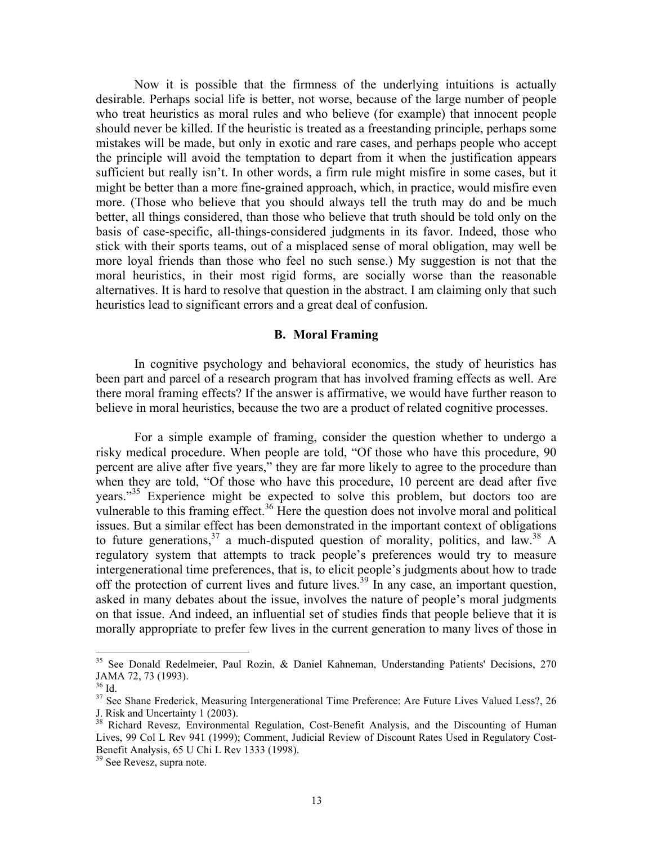Now it is possible that the firmness of the underlying intuitions is actually desirable. Perhaps social life is better, not worse, because of the large number of people who treat heuristics as moral rules and who believe (for example) that innocent people should never be killed. If the heuristic is treated as a freestanding principle, perhaps some mistakes will be made, but only in exotic and rare cases, and perhaps people who accept the principle will avoid the temptation to depart from it when the justification appears sufficient but really isn't. In other words, a firm rule might misfire in some cases, but it might be better than a more fine-grained approach, which, in practice, would misfire even more. (Those who believe that you should always tell the truth may do and be much better, all things considered, than those who believe that truth should be told only on the basis of case-specific, all-things-considered judgments in its favor. Indeed, those who stick with their sports teams, out of a misplaced sense of moral obligation, may well be more loyal friends than those who feel no such sense.) My suggestion is not that the moral heuristics, in their most rigid forms, are socially worse than the reasonable alternatives. It is hard to resolve that question in the abstract. I am claiming only that such heuristics lead to significant errors and a great deal of confusion.

#### **B. Moral Framing**

In cognitive psychology and behavioral economics, the study of heuristics has been part and parcel of a research program that has involved framing effects as well. Are there moral framing effects? If the answer is affirmative, we would have further reason to believe in moral heuristics, because the two are a product of related cognitive processes.

For a simple example of framing, consider the question whether to undergo a risky medical procedure. When people are told, "Of those who have this procedure, 90 percent are alive after five years," they are far more likely to agree to the procedure than when they are told, "Of those who have this procedure, 10 percent are dead after five years."<sup>35</sup> Experience might be expected to solve this problem, but doctors too are vulnerable to this framing effect.<sup>36</sup> Here the question does not involve moral and political issues. But a similar effect has been demonstrated in the important context of obligations to future generations,  $37$  a much-disputed question of morality, politics, and law.  $38$  A regulatory system that attempts to track people's preferences would try to measure intergenerational time preferences, that is, to elicit people's judgments about how to trade off the protection of current lives and future lives.<sup>39</sup> In any case, an important question, asked in many debates about the issue, involves the nature of people's moral judgments on that issue. And indeed, an influential set of studies finds that people believe that it is morally appropriate to prefer few lives in the current generation to many lives of those in

<span id="page-14-0"></span><sup>&</sup>lt;sup>35</sup> See Donald Redelmeier, Paul Rozin, & Daniel Kahneman, Understanding Patients' Decisions, 270 JAMA 72, 73 (1993).<br><sup>36</sup> Id.

<span id="page-14-1"></span>

<span id="page-14-2"></span> $37$  See Shane Frederick, Measuring Intergenerational Time Preference: Are Future Lives Valued Less?, 26

<span id="page-14-3"></span>

J. Risk and Uncertainty 1 (2003).<br><sup>38</sup> Richard Revesz, Environmental Regulation, Cost-Benefit Analysis, and the Discounting of Human Lives, 99 Col L Rev 941 (1999); Comment, Judicial Review of Discount Rates Used in Regulatory Cost-Benefit Analysis, 65 U Chi L Rev 1333 (1998).<br><sup>39</sup> See Revesz, supra note.

<span id="page-14-4"></span>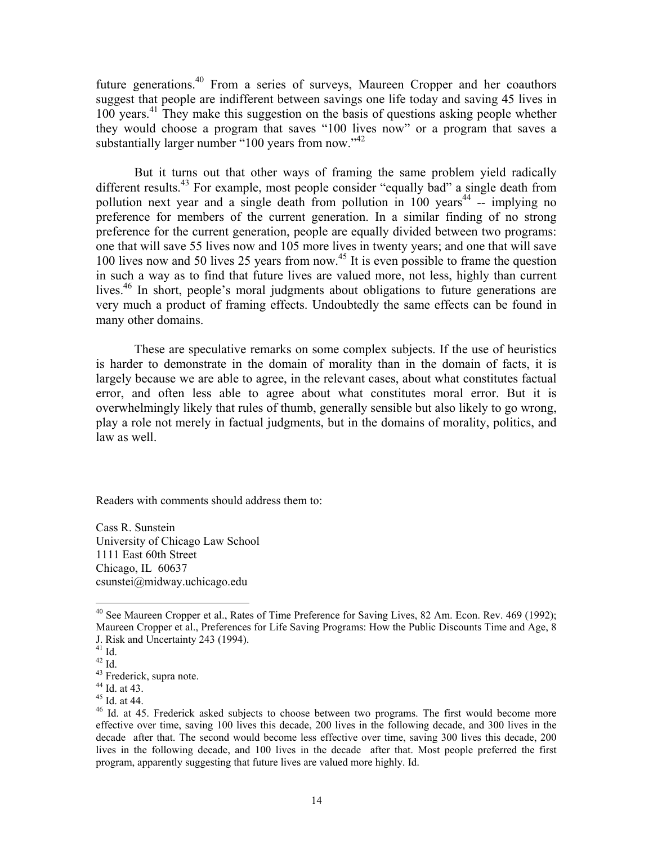future generations[.40](#page-15-0) From a series of surveys, Maureen Cropper and her coauthors suggest that people are indifferent between savings one life today and saving 45 lives in 100 years[.41](#page-15-1) They make this suggestion on the basis of questions asking people whether they would choose a program that saves "100 lives now" or a program that saves a substantially larger number "100 years from now." $42$ 

But it turns out that other ways of framing the same problem yield radically different results.<sup>43</sup> For example, most people consider "equally bad" a single death from pollution next year and a single death from pollution in 100 years<sup>44</sup>  $-$  implying no preference for members of the current generation. In a similar finding of no strong preference for the current generation, people are equally divided between two programs: one that will save 55 lives now and 105 more lives in twenty years; and one that will save 100 lives now and 50 lives 25 years from now.<sup>45</sup> It is even possible to frame the question in such a way as to find that future lives are valued more, not less, highly than current lives.<sup>46</sup> In short, people's moral judgments about obligations to future generations are very much a product of framing effects. Undoubtedly the same effects can be found in many other domains.

These are speculative remarks on some complex subjects. If the use of heuristics is harder to demonstrate in the domain of morality than in the domain of facts, it is largely because we are able to agree, in the relevant cases, about what constitutes factual error, and often less able to agree about what constitutes moral error. But it is overwhelmingly likely that rules of thumb, generally sensible but also likely to go wrong, play a role not merely in factual judgments, but in the domains of morality, politics, and law as well.

Readers with comments should address them to:

Cass R. Sunstein University of Chicago Law School 1111 East 60th Street Chicago, IL 60637 csunstei@midway.uchicago.edu

<span id="page-15-0"></span><sup>&</sup>lt;sup>40</sup> See Maureen Cropper et al., Rates of Time Preference for Saving Lives, 82 Am. Econ. Rev. 469 (1992); Maureen Cropper et al., Preferences for Life Saving Programs: How the Public Discounts Time and Age, 8 J. Risk and Uncertainty 243 (1994).<br> $^{41}$  Id.

<span id="page-15-1"></span>

<span id="page-15-2"></span> $42 \overline{1}d$ .

<span id="page-15-3"></span> $43$  Frederick, supra note.<br> $44$  Id. at 43.

<span id="page-15-4"></span>

<span id="page-15-5"></span> $45$  Id. at 44.

<span id="page-15-6"></span><sup>&</sup>lt;sup>46</sup> Id. at 45. Frederick asked subjects to choose between two programs. The first would become more effective over time, saving 100 lives this decade, 200 lives in the following decade, and 300 lives in the decade after that. The second would become less effective over time, saving 300 lives this decade, 200 lives in the following decade, and 100 lives in the decade after that. Most people preferred the first program, apparently suggesting that future lives are valued more highly. Id.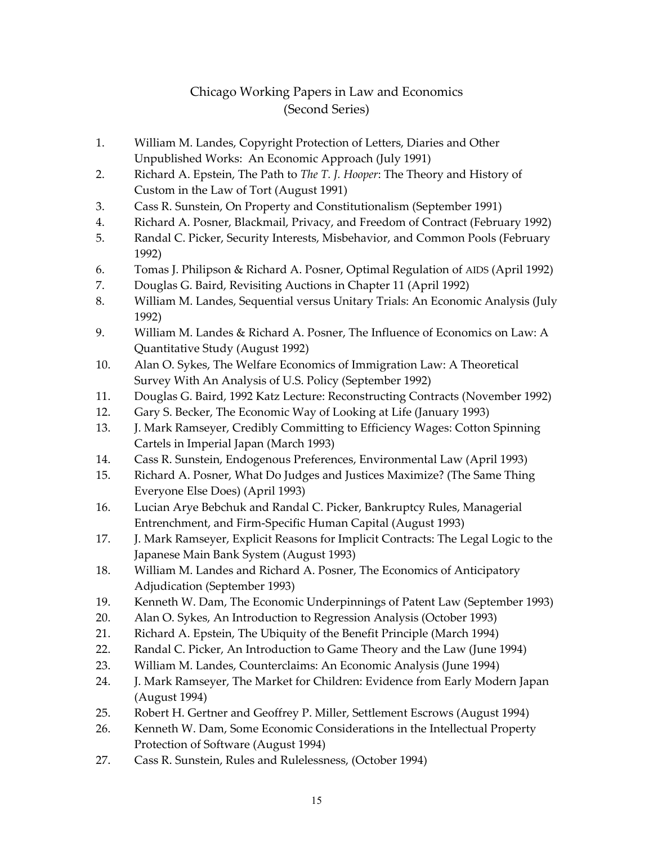# Chicago Working Papers in Law and Economics (Second Series)

- 1. William M. Landes, Copyright Protection of Letters, Diaries and Other Unpublished Works: An Economic Approach (July 1991)
- 2. Richard A. Epstein, The Path to *The T. J. Hooper*: The Theory and History of Custom in the Law of Tort (August 1991)
- 3. Cass R. Sunstein, On Property and Constitutionalism (September 1991)
- 4. Richard A. Posner, Blackmail, Privacy, and Freedom of Contract (February 1992)
- 5. Randal C. Picker, Security Interests, Misbehavior, and Common Pools (February 1992)
- 6. Tomas J. Philipson & Richard A. Posner, Optimal Regulation of AIDS (April 1992)
- 7. Douglas G. Baird, Revisiting Auctions in Chapter 11 (April 1992)
- 8. William M. Landes, Sequential versus Unitary Trials: An Economic Analysis (July 1992)
- 9. William M. Landes & Richard A. Posner, The Influence of Economics on Law: A Quantitative Study (August 1992)
- 10. Alan O. Sykes, The Welfare Economics of Immigration Law: A Theoretical Survey With An Analysis of U.S. Policy (September 1992)
- 11. Douglas G. Baird, 1992 Katz Lecture: Reconstructing Contracts (November 1992)
- 12. Gary S. Becker, The Economic Way of Looking at Life (January 1993)
- 13. J. Mark Ramseyer, Credibly Committing to Efficiency Wages: Cotton Spinning Cartels in Imperial Japan (March 1993)
- 14. Cass R. Sunstein, Endogenous Preferences, Environmental Law (April 1993)
- 15. Richard A. Posner, What Do Judges and Justices Maximize? (The Same Thing Everyone Else Does) (April 1993)
- 16. Lucian Arye Bebchuk and Randal C. Picker, Bankruptcy Rules, Managerial Entrenchment, and Firm-Specific Human Capital (August 1993)
- 17. J. Mark Ramseyer, Explicit Reasons for Implicit Contracts: The Legal Logic to the Japanese Main Bank System (August 1993)
- 18. William M. Landes and Richard A. Posner, The Economics of Anticipatory Adjudication (September 1993)
- 19. Kenneth W. Dam, The Economic Underpinnings of Patent Law (September 1993)
- 20. Alan O. Sykes, An Introduction to Regression Analysis (October 1993)
- 21. Richard A. Epstein, The Ubiquity of the Benefit Principle (March 1994)
- 22. Randal C. Picker, An Introduction to Game Theory and the Law (June 1994)
- 23. William M. Landes, Counterclaims: An Economic Analysis (June 1994)
- 24. J. Mark Ramseyer, The Market for Children: Evidence from Early Modern Japan (August 1994)
- 25. Robert H. Gertner and Geoffrey P. Miller, Settlement Escrows (August 1994)
- 26. Kenneth W. Dam, Some Economic Considerations in the Intellectual Property Protection of Software (August 1994)
- 27. Cass R. Sunstein, Rules and Rulelessness, (October 1994)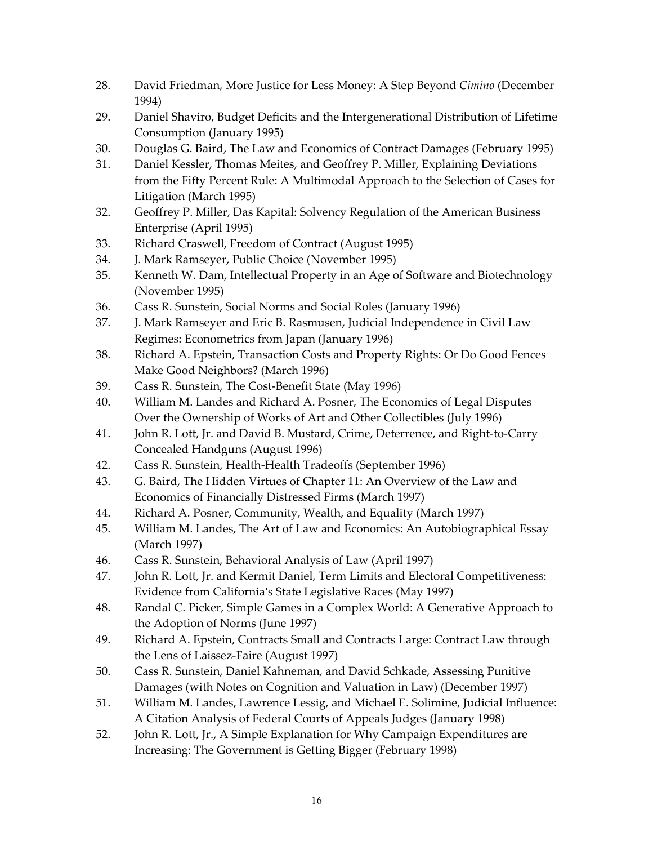- 28. David Friedman, More Justice for Less Money: A Step Beyond *Cimino* (December 1994)
- 29. Daniel Shaviro, Budget Deficits and the Intergenerational Distribution of Lifetime Consumption (January 1995)
- 30. Douglas G. Baird, The Law and Economics of Contract Damages (February 1995)
- 31. Daniel Kessler, Thomas Meites, and Geoffrey P. Miller, Explaining Deviations from the Fifty Percent Rule: A Multimodal Approach to the Selection of Cases for Litigation (March 1995)
- 32. Geoffrey P. Miller, Das Kapital: Solvency Regulation of the American Business Enterprise (April 1995)
- 33. Richard Craswell, Freedom of Contract (August 1995)
- 34. J. Mark Ramseyer, Public Choice (November 1995)
- 35. Kenneth W. Dam, Intellectual Property in an Age of Software and Biotechnology (November 1995)
- 36. Cass R. Sunstein, Social Norms and Social Roles (January 1996)
- 37. J. Mark Ramseyer and Eric B. Rasmusen, Judicial Independence in Civil Law Regimes: Econometrics from Japan (January 1996)
- 38. Richard A. Epstein, Transaction Costs and Property Rights: Or Do Good Fences Make Good Neighbors? (March 1996)
- 39. Cass R. Sunstein, The Cost-Benefit State (May 1996)
- 40. William M. Landes and Richard A. Posner, The Economics of Legal Disputes Over the Ownership of Works of Art and Other Collectibles (July 1996)
- 41. John R. Lott, Jr. and David B. Mustard, Crime, Deterrence, and Right-to-Carry Concealed Handguns (August 1996)
- 42. Cass R. Sunstein, Health-Health Tradeoffs (September 1996)
- 43. G. Baird, The Hidden Virtues of Chapter 11: An Overview of the Law and Economics of Financially Distressed Firms (March 1997)
- 44. Richard A. Posner, Community, Wealth, and Equality (March 1997)
- 45. William M. Landes, The Art of Law and Economics: An Autobiographical Essay (March 1997)
- 46. Cass R. Sunstein, Behavioral Analysis of Law (April 1997)
- 47. John R. Lott, Jr. and Kermit Daniel, Term Limits and Electoral Competitiveness: Evidence from California's State Legislative Races (May 1997)
- 48. Randal C. Picker, Simple Games in a Complex World: A Generative Approach to the Adoption of Norms (June 1997)
- 49. Richard A. Epstein, Contracts Small and Contracts Large: Contract Law through the Lens of Laissez-Faire (August 1997)
- 50. Cass R. Sunstein, Daniel Kahneman, and David Schkade, Assessing Punitive Damages (with Notes on Cognition and Valuation in Law) (December 1997)
- 51. William M. Landes, Lawrence Lessig, and Michael E. Solimine, Judicial Influence: A Citation Analysis of Federal Courts of Appeals Judges (January 1998)
- 52. John R. Lott, Jr., A Simple Explanation for Why Campaign Expenditures are Increasing: The Government is Getting Bigger (February 1998)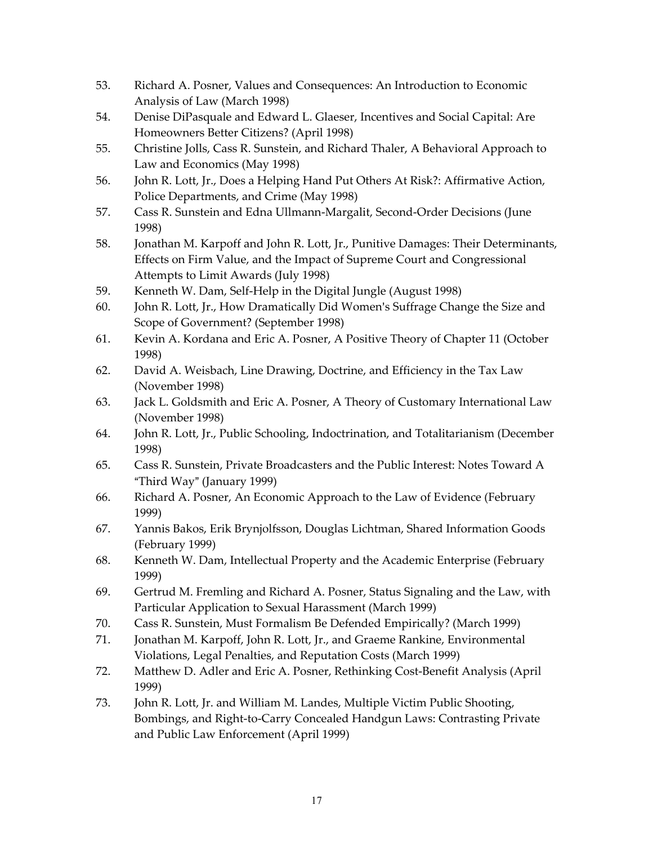- 53. Richard A. Posner, Values and Consequences: An Introduction to Economic Analysis of Law (March 1998)
- 54. Denise DiPasquale and Edward L. Glaeser, Incentives and Social Capital: Are Homeowners Better Citizens? (April 1998)
- 55. Christine Jolls, Cass R. Sunstein, and Richard Thaler, A Behavioral Approach to Law and Economics (May 1998)
- 56. John R. Lott, Jr., Does a Helping Hand Put Others At Risk?: Affirmative Action, Police Departments, and Crime (May 1998)
- 57. Cass R. Sunstein and Edna Ullmann-Margalit, Second-Order Decisions (June 1998)
- 58. Jonathan M. Karpoff and John R. Lott, Jr., Punitive Damages: Their Determinants, Effects on Firm Value, and the Impact of Supreme Court and Congressional Attempts to Limit Awards (July 1998)
- 59. Kenneth W. Dam, Self-Help in the Digital Jungle (August 1998)
- 60. John R. Lott, Jr., How Dramatically Did Women's Suffrage Change the Size and Scope of Government? (September 1998)
- 61. Kevin A. Kordana and Eric A. Posner, A Positive Theory of Chapter 11 (October 1998)
- 62. David A. Weisbach, Line Drawing, Doctrine, and Efficiency in the Tax Law (November 1998)
- 63. Jack L. Goldsmith and Eric A. Posner, A Theory of Customary International Law (November 1998)
- 64. John R. Lott, Jr., Public Schooling, Indoctrination, and Totalitarianism (December 1998)
- 65. Cass R. Sunstein, Private Broadcasters and the Public Interest: Notes Toward A "Third Way" (January 1999)
- 66. Richard A. Posner, An Economic Approach to the Law of Evidence (February 1999)
- 67. Yannis Bakos, Erik Brynjolfsson, Douglas Lichtman, Shared Information Goods (February 1999)
- 68. Kenneth W. Dam, Intellectual Property and the Academic Enterprise (February 1999)
- 69. Gertrud M. Fremling and Richard A. Posner, Status Signaling and the Law, with Particular Application to Sexual Harassment (March 1999)
- 70. Cass R. Sunstein, Must Formalism Be Defended Empirically? (March 1999)
- 71. Jonathan M. Karpoff, John R. Lott, Jr., and Graeme Rankine, Environmental Violations, Legal Penalties, and Reputation Costs (March 1999)
- 72. Matthew D. Adler and Eric A. Posner, Rethinking Cost-Benefit Analysis (April 1999)
- 73. John R. Lott, Jr. and William M. Landes, Multiple Victim Public Shooting, Bombings, and Right-to-Carry Concealed Handgun Laws: Contrasting Private and Public Law Enforcement (April 1999)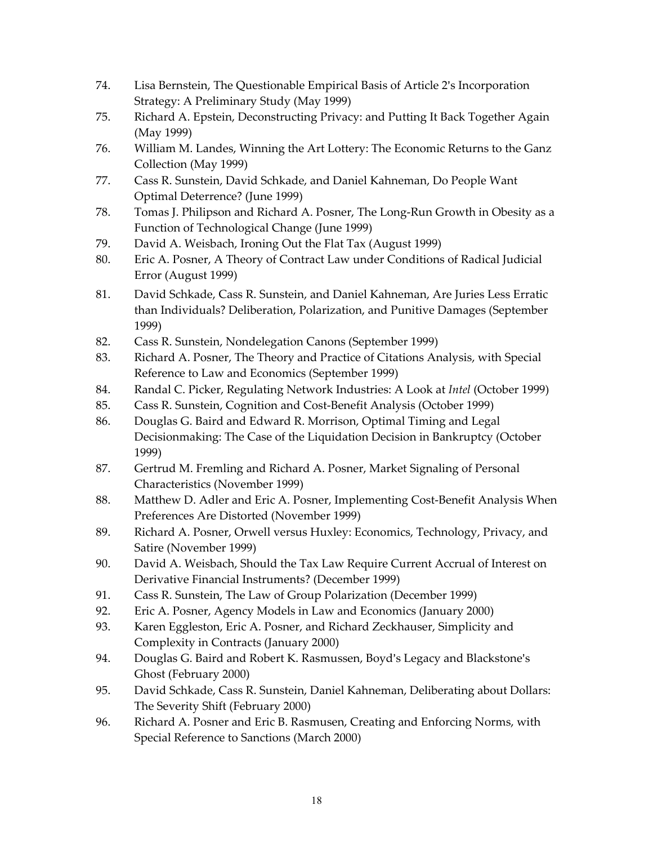- 74. Lisa Bernstein, The Questionable Empirical Basis of Article 2's Incorporation Strategy: A Preliminary Study (May 1999)
- 75. Richard A. Epstein, Deconstructing Privacy: and Putting It Back Together Again (May 1999)
- 76. William M. Landes, Winning the Art Lottery: The Economic Returns to the Ganz Collection (May 1999)
- 77. Cass R. Sunstein, David Schkade, and Daniel Kahneman, Do People Want Optimal Deterrence? (June 1999)
- 78. Tomas J. Philipson and Richard A. Posner, The Long-Run Growth in Obesity as a Function of Technological Change (June 1999)
- 79. David A. Weisbach, Ironing Out the Flat Tax (August 1999)
- 80. Eric A. Posner, A Theory of Contract Law under Conditions of Radical Judicial Error (August 1999)
- 81. David Schkade, Cass R. Sunstein, and Daniel Kahneman, Are Juries Less Erratic than Individuals? Deliberation, Polarization, and Punitive Damages (September 1999)
- 82. Cass R. Sunstein, Nondelegation Canons (September 1999)
- 83. Richard A. Posner, The Theory and Practice of Citations Analysis, with Special Reference to Law and Economics (September 1999)
- 84. Randal C. Picker, Regulating Network Industries: A Look at *Intel* (October 1999)
- 85. Cass R. Sunstein, Cognition and Cost-Benefit Analysis (October 1999)
- 86. Douglas G. Baird and Edward R. Morrison, Optimal Timing and Legal Decisionmaking: The Case of the Liquidation Decision in Bankruptcy (October 1999)
- 87. Gertrud M. Fremling and Richard A. Posner, Market Signaling of Personal Characteristics (November 1999)
- 88. Matthew D. Adler and Eric A. Posner, Implementing Cost-Benefit Analysis When Preferences Are Distorted (November 1999)
- 89. Richard A. Posner, Orwell versus Huxley: Economics, Technology, Privacy, and Satire (November 1999)
- 90. David A. Weisbach, Should the Tax Law Require Current Accrual of Interest on Derivative Financial Instruments? (December 1999)
- 91. Cass R. Sunstein, The Law of Group Polarization (December 1999)
- 92. Eric A. Posner, Agency Models in Law and Economics (January 2000)
- 93. Karen Eggleston, Eric A. Posner, and Richard Zeckhauser, Simplicity and Complexity in Contracts (January 2000)
- 94. Douglas G. Baird and Robert K. Rasmussen, Boyd's Legacy and Blackstone's Ghost (February 2000)
- 95. David Schkade, Cass R. Sunstein, Daniel Kahneman, Deliberating about Dollars: The Severity Shift (February 2000)
- 96. Richard A. Posner and Eric B. Rasmusen, Creating and Enforcing Norms, with Special Reference to Sanctions (March 2000)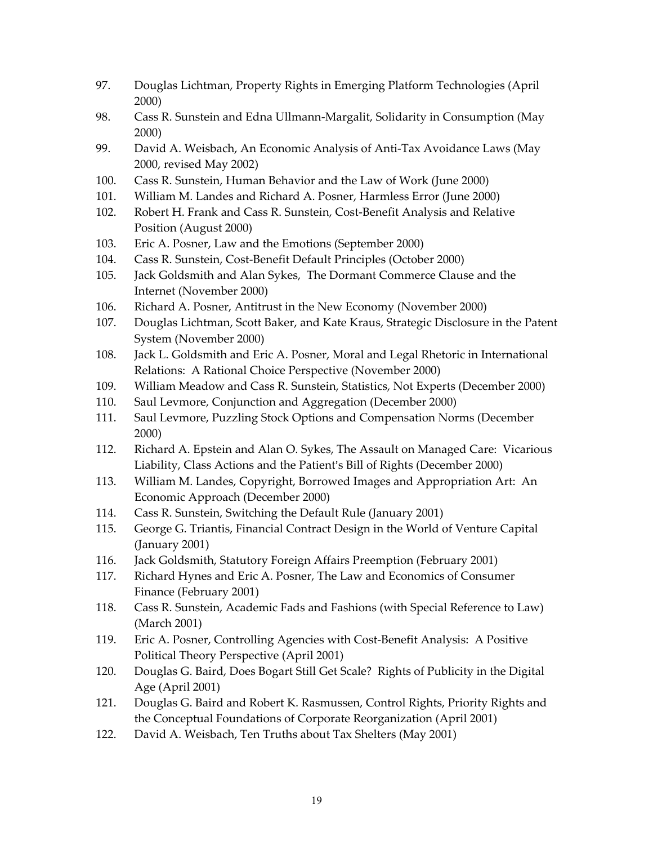- 97. Douglas Lichtman, Property Rights in Emerging Platform Technologies (April 2000)
- 98. Cass R. Sunstein and Edna Ullmann-Margalit, Solidarity in Consumption (May 2000)
- 99. David A. Weisbach, An Economic Analysis of Anti-Tax Avoidance Laws (May 2000, revised May 2002)
- 100. Cass R. Sunstein, Human Behavior and the Law of Work (June 2000)
- 101. William M. Landes and Richard A. Posner, Harmless Error (June 2000)
- 102. Robert H. Frank and Cass R. Sunstein, Cost-Benefit Analysis and Relative Position (August 2000)
- 103. Eric A. Posner, Law and the Emotions (September 2000)
- 104. Cass R. Sunstein, Cost-Benefit Default Principles (October 2000)
- 105. Jack Goldsmith and Alan Sykes, The Dormant Commerce Clause and the Internet (November 2000)
- 106. Richard A. Posner, Antitrust in the New Economy (November 2000)
- 107. Douglas Lichtman, Scott Baker, and Kate Kraus, Strategic Disclosure in the Patent System (November 2000)
- 108. Jack L. Goldsmith and Eric A. Posner, Moral and Legal Rhetoric in International Relations: A Rational Choice Perspective (November 2000)
- 109. William Meadow and Cass R. Sunstein, Statistics, Not Experts (December 2000)
- 110. Saul Levmore, Conjunction and Aggregation (December 2000)
- 111. Saul Levmore, Puzzling Stock Options and Compensation Norms (December 2000)
- 112. Richard A. Epstein and Alan O. Sykes, The Assault on Managed Care: Vicarious Liability, Class Actions and the Patient's Bill of Rights (December 2000)
- 113. William M. Landes, Copyright, Borrowed Images and Appropriation Art: An Economic Approach (December 2000)
- 114. Cass R. Sunstein, Switching the Default Rule (January 2001)
- 115. George G. Triantis, Financial Contract Design in the World of Venture Capital (January 2001)
- 116. Jack Goldsmith, Statutory Foreign Affairs Preemption (February 2001)
- 117. Richard Hynes and Eric A. Posner, The Law and Economics of Consumer Finance (February 2001)
- 118. Cass R. Sunstein, Academic Fads and Fashions (with Special Reference to Law) (March 2001)
- 119. Eric A. Posner, Controlling Agencies with Cost-Benefit Analysis: A Positive Political Theory Perspective (April 2001)
- 120. Douglas G. Baird, Does Bogart Still Get Scale? Rights of Publicity in the Digital Age (April 2001)
- 121. Douglas G. Baird and Robert K. Rasmussen, Control Rights, Priority Rights and the Conceptual Foundations of Corporate Reorganization (April 2001)
- 122. David A. Weisbach, Ten Truths about Tax Shelters (May 2001)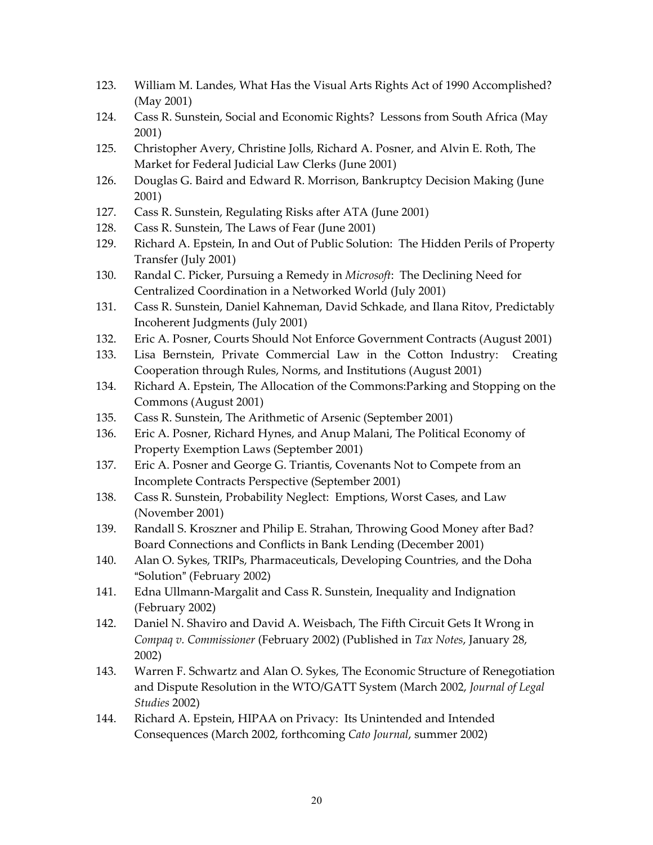- 123. William M. Landes, What Has the Visual Arts Rights Act of 1990 Accomplished? (May 2001)
- 124. Cass R. Sunstein, Social and Economic Rights? Lessons from South Africa (May 2001)
- 125. Christopher Avery, Christine Jolls, Richard A. Posner, and Alvin E. Roth, The Market for Federal Judicial Law Clerks (June 2001)
- 126. Douglas G. Baird and Edward R. Morrison, Bankruptcy Decision Making (June 2001)
- 127. Cass R. Sunstein, Regulating Risks after ATA (June 2001)
- 128. Cass R. Sunstein, The Laws of Fear (June 2001)
- 129. Richard A. Epstein, In and Out of Public Solution: The Hidden Perils of Property Transfer (July 2001)
- 130. Randal C. Picker, Pursuing a Remedy in *Microsoft*: The Declining Need for Centralized Coordination in a Networked World (July 2001)
- 131. Cass R. Sunstein, Daniel Kahneman, David Schkade, and Ilana Ritov, Predictably Incoherent Judgments (July 2001)
- 132. Eric A. Posner, Courts Should Not Enforce Government Contracts (August 2001)
- 133. Lisa Bernstein, Private Commercial Law in the Cotton Industry: Creating Cooperation through Rules, Norms, and Institutions (August 2001)
- 134. Richard A. Epstein, The Allocation of the Commons:Parking and Stopping on the Commons (August 2001)
- 135. Cass R. Sunstein, The Arithmetic of Arsenic (September 2001)
- 136. Eric A. Posner, Richard Hynes, and Anup Malani, The Political Economy of Property Exemption Laws (September 2001)
- 137. Eric A. Posner and George G. Triantis, Covenants Not to Compete from an Incomplete Contracts Perspective (September 2001)
- 138. Cass R. Sunstein, Probability Neglect: Emptions, Worst Cases, and Law (November 2001)
- 139. Randall S. Kroszner and Philip E. Strahan, Throwing Good Money after Bad? Board Connections and Conflicts in Bank Lending (December 2001)
- 140. Alan O. Sykes, TRIPs, Pharmaceuticals, Developing Countries, and the Doha "Solution" (February 2002)
- 141. Edna Ullmann-Margalit and Cass R. Sunstein, Inequality and Indignation (February 2002)
- 142. Daniel N. Shaviro and David A. Weisbach, The Fifth Circuit Gets It Wrong in *Compaq v. Commissioner* (February 2002) (Published in *Tax Notes*, January 28, 2002)
- 143. Warren F. Schwartz and Alan O. Sykes, The Economic Structure of Renegotiation and Dispute Resolution in the WTO/GATT System (March 2002, *Journal of Legal Studies* 2002)
- 144. Richard A. Epstein, HIPAA on Privacy: Its Unintended and Intended Consequences (March 2002, forthcoming *Cato Journal*, summer 2002)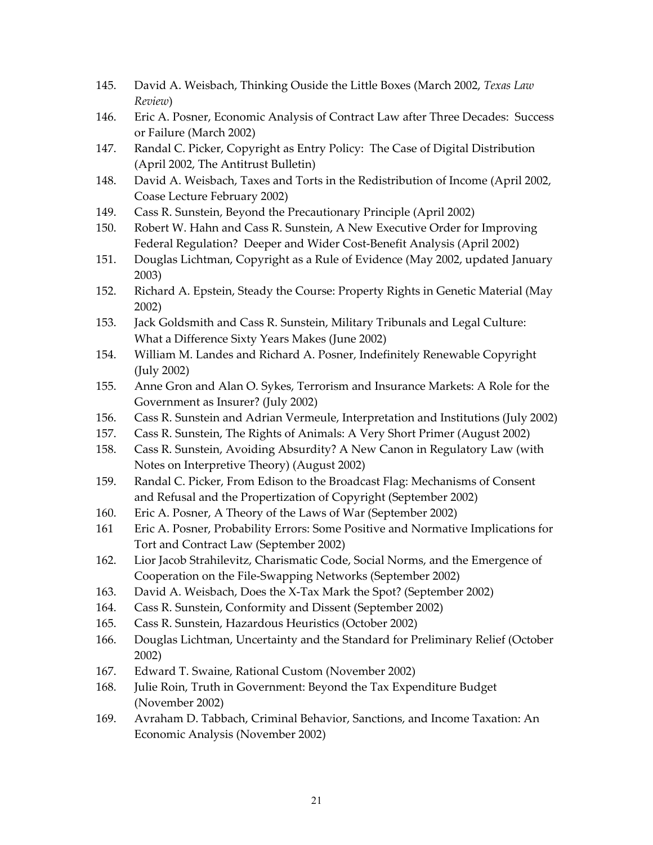- 145. David A. Weisbach, Thinking Ouside the Little Boxes (March 2002, *Texas Law Review*)
- 146. Eric A. Posner, Economic Analysis of Contract Law after Three Decades: Success or Failure (March 2002)
- 147. Randal C. Picker, Copyright as Entry Policy: The Case of Digital Distribution (April 2002, The Antitrust Bulletin)
- 148. David A. Weisbach, Taxes and Torts in the Redistribution of Income (April 2002, Coase Lecture February 2002)
- 149. Cass R. Sunstein, Beyond the Precautionary Principle (April 2002)
- 150. Robert W. Hahn and Cass R. Sunstein, A New Executive Order for Improving Federal Regulation? Deeper and Wider Cost-Benefit Analysis (April 2002)
- 151. Douglas Lichtman, Copyright as a Rule of Evidence (May 2002, updated January 2003)
- 152. Richard A. Epstein, Steady the Course: Property Rights in Genetic Material (May 2002)
- 153. Jack Goldsmith and Cass R. Sunstein, Military Tribunals and Legal Culture: What a Difference Sixty Years Makes (June 2002)
- 154. William M. Landes and Richard A. Posner, Indefinitely Renewable Copyright (July 2002)
- 155. Anne Gron and Alan O. Sykes, Terrorism and Insurance Markets: A Role for the Government as Insurer? (July 2002)
- 156. Cass R. Sunstein and Adrian Vermeule, Interpretation and Institutions (July 2002)
- 157. Cass R. Sunstein, The Rights of Animals: A Very Short Primer (August 2002)
- 158. Cass R. Sunstein, Avoiding Absurdity? A New Canon in Regulatory Law (with Notes on Interpretive Theory) (August 2002)
- 159. Randal C. Picker, From Edison to the Broadcast Flag: Mechanisms of Consent and Refusal and the Propertization of Copyright (September 2002)
- 160. Eric A. Posner, A Theory of the Laws of War (September 2002)
- 161 Eric A. Posner, Probability Errors: Some Positive and Normative Implications for Tort and Contract Law (September 2002)
- 162. Lior Jacob Strahilevitz, Charismatic Code, Social Norms, and the Emergence of Cooperation on the File-Swapping Networks (September 2002)
- 163. David A. Weisbach, Does the X-Tax Mark the Spot? (September 2002)
- 164. Cass R. Sunstein, Conformity and Dissent (September 2002)
- 165. Cass R. Sunstein, Hazardous Heuristics (October 2002)
- 166. Douglas Lichtman, Uncertainty and the Standard for Preliminary Relief (October 2002)
- 167. Edward T. Swaine, Rational Custom (November 2002)
- 168. Julie Roin, Truth in Government: Beyond the Tax Expenditure Budget (November 2002)
- 169. Avraham D. Tabbach, Criminal Behavior, Sanctions, and Income Taxation: An Economic Analysis (November 2002)